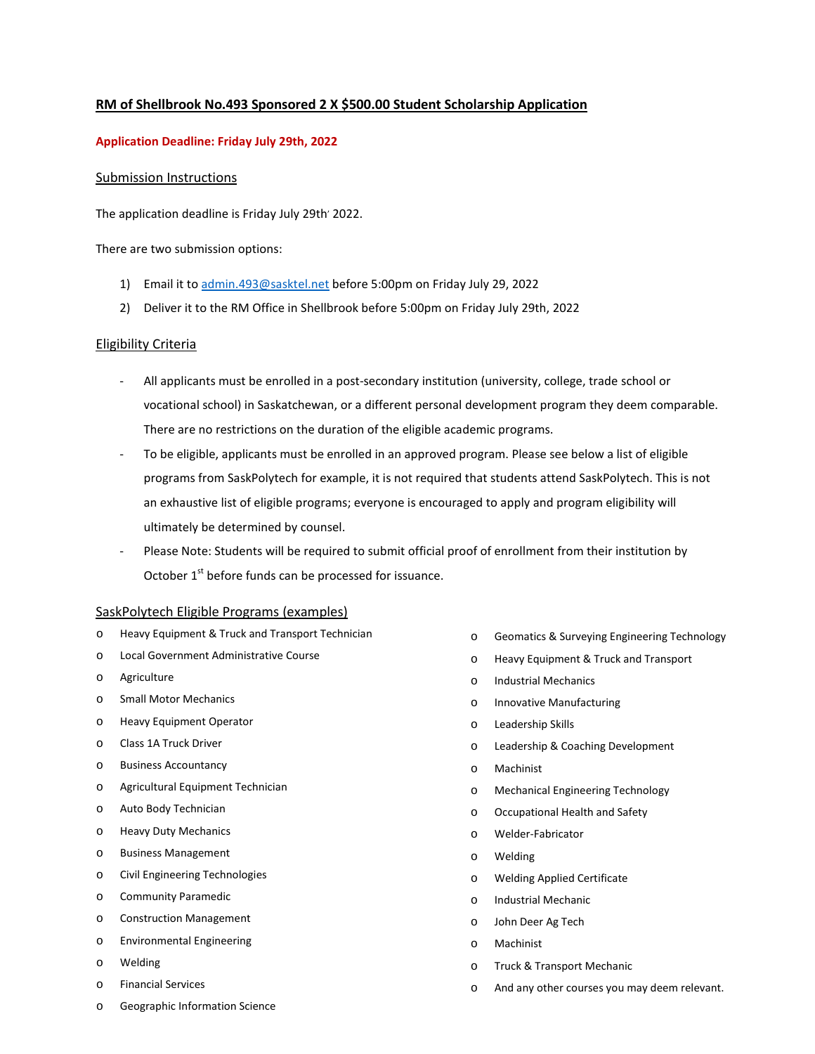# **RM of Shellbrook No.493 Sponsored 2 X \$500.00 Student Scholarship Application**

# **Application Deadline: Friday July 29th, 2022**

# Submission Instructions

The application deadline is Friday July 29th' 2022.

There are two submission options:

- 1) Email it t[o admin.493@sasktel.net](mailto:admin.493@sasktel.net) before 5:00pm on Friday July 29, 2022
- 2) Deliver it to the RM Office in Shellbrook before 5:00pm on Friday July 29th, 2022

# Eligibility Criteria

- All applicants must be enrolled in a post-secondary institution (university, college, trade school or vocational school) in Saskatchewan, or a different personal development program they deem comparable. There are no restrictions on the duration of the eligible academic programs.
- To be eligible, applicants must be enrolled in an approved program. Please see below a list of eligible programs from SaskPolytech for example, it is not required that students attend SaskPolytech. This is not an exhaustive list of eligible programs; everyone is encouraged to apply and program eligibility will ultimately be determined by counsel.
- Please Note: Students will be required to submit official proof of enrollment from their institution by October  $1<sup>st</sup>$  before funds can be processed for issuance.

#### SaskPolytech Eligible Programs (examples)

- o Heavy Equipment & Truck and Transport Technician
- o Local Government Administrative Course
- o Agriculture
- o Small Motor Mechanics
- o Heavy Equipment Operator
- o Class 1A Truck Driver
- o Business Accountancy
- o Agricultural Equipment Technician
- o Auto Body Technician
- o Heavy Duty Mechanics
- o Business Management
- o Civil Engineering Technologies
- o Community Paramedic
- o Construction Management
- o Environmental Engineering
- o Welding
- o Financial Services
- o Geographic Information Science
- o Geomatics & Surveying Engineering Technology
- o Heavy Equipment & Truck and Transport
- o Industrial Mechanics
- o Innovative Manufacturing
- o Leadership Skills
- o Leadership & Coaching Development
- o Machinist
- o Mechanical Engineering Technology
- o Occupational Health and Safety
- o Welder-Fabricator
- o Welding
- o Welding Applied Certificate
- o Industrial Mechanic
- o John Deer Ag Tech
- o Machinist
- o Truck & Transport Mechanic
- o And any other courses you may deem relevant.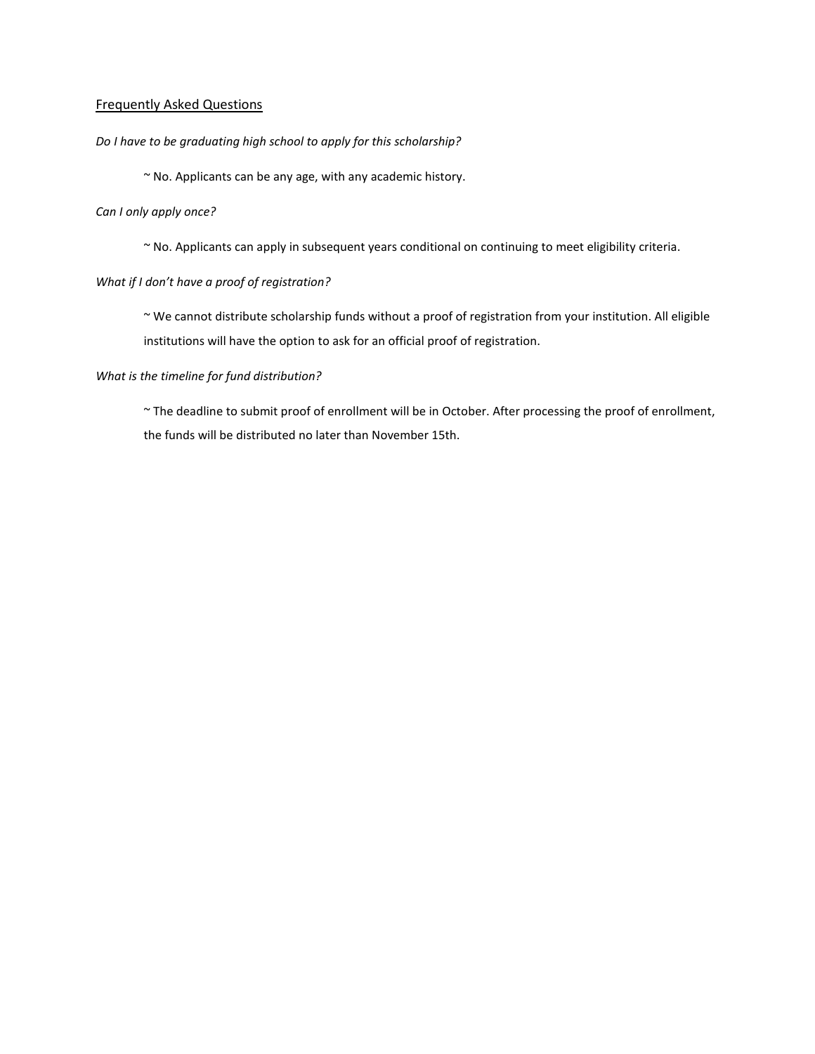# Frequently Asked Questions

#### *Do I have to be graduating high school to apply for this scholarship?*

~ No. Applicants can be any age, with any academic history.

# *Can I only apply once?*

~ No. Applicants can apply in subsequent years conditional on continuing to meet eligibility criteria.

# *What if I don't have a proof of registration?*

~ We cannot distribute scholarship funds without a proof of registration from your institution. All eligible institutions will have the option to ask for an official proof of registration.

#### *What is the timeline for fund distribution?*

~ The deadline to submit proof of enrollment will be in October. After processing the proof of enrollment, the funds will be distributed no later than November 15th.